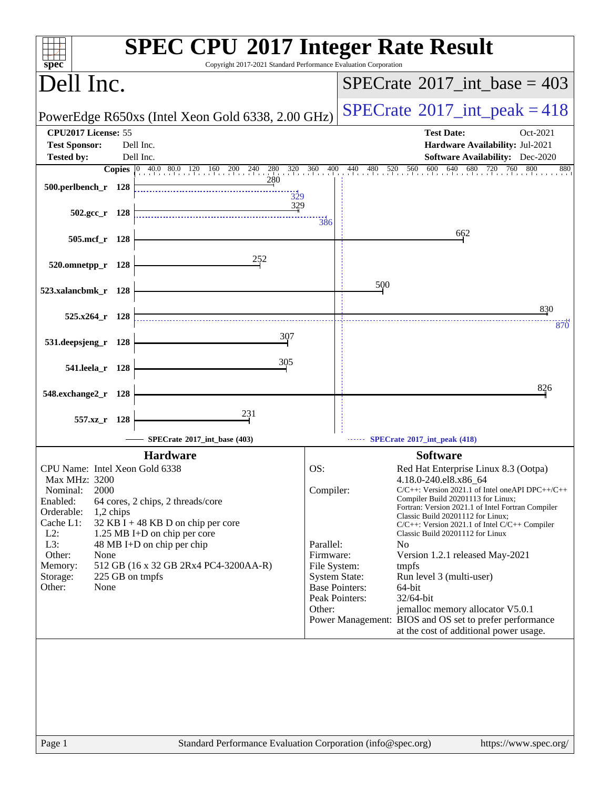| spec <sup>®</sup>                                                                                                                                                                                                      | <b>SPEC CPU®2017 Integer Rate Result</b><br>Copyright 2017-2021 Standard Performance Evaluation Corporation                                                                    |                                                                                              |                                                                                                                                                                                                                                                                                                                                                                                                                                                                                                                                                                                                                                                     |     |
|------------------------------------------------------------------------------------------------------------------------------------------------------------------------------------------------------------------------|--------------------------------------------------------------------------------------------------------------------------------------------------------------------------------|----------------------------------------------------------------------------------------------|-----------------------------------------------------------------------------------------------------------------------------------------------------------------------------------------------------------------------------------------------------------------------------------------------------------------------------------------------------------------------------------------------------------------------------------------------------------------------------------------------------------------------------------------------------------------------------------------------------------------------------------------------------|-----|
| Dell Inc.                                                                                                                                                                                                              |                                                                                                                                                                                | $SPECTate@2017\_int\_base = 403$                                                             |                                                                                                                                                                                                                                                                                                                                                                                                                                                                                                                                                                                                                                                     |     |
|                                                                                                                                                                                                                        | PowerEdge R650xs (Intel Xeon Gold 6338, 2.00 GHz)                                                                                                                              | $SPECrate^{\circ}2017\_int\_peak = 418$                                                      |                                                                                                                                                                                                                                                                                                                                                                                                                                                                                                                                                                                                                                                     |     |
| CPU2017 License: 55                                                                                                                                                                                                    |                                                                                                                                                                                |                                                                                              | <b>Test Date:</b><br>Oct-2021                                                                                                                                                                                                                                                                                                                                                                                                                                                                                                                                                                                                                       |     |
| <b>Test Sponsor:</b><br><b>Tested by:</b>                                                                                                                                                                              | Dell Inc.<br>Dell Inc.                                                                                                                                                         |                                                                                              | Hardware Availability: Jul-2021<br><b>Software Availability:</b> Dec-2020                                                                                                                                                                                                                                                                                                                                                                                                                                                                                                                                                                           |     |
|                                                                                                                                                                                                                        | <b>Copies</b> 0 40.0 80.0 120 160 200 240 280 320 360                                                                                                                          | 400                                                                                          | 600<br>640<br>680<br>440<br>480<br>$30\quad 520\quad 560\quad 60$<br>720<br>760<br>800                                                                                                                                                                                                                                                                                                                                                                                                                                                                                                                                                              | 880 |
| 500.perlbench_r 128                                                                                                                                                                                                    | 280<br>329                                                                                                                                                                     |                                                                                              |                                                                                                                                                                                                                                                                                                                                                                                                                                                                                                                                                                                                                                                     |     |
| $502.\text{gcc r}$ 128                                                                                                                                                                                                 | 329                                                                                                                                                                            | 386                                                                                          |                                                                                                                                                                                                                                                                                                                                                                                                                                                                                                                                                                                                                                                     |     |
| 505.mcf_r 128                                                                                                                                                                                                          |                                                                                                                                                                                |                                                                                              | 662                                                                                                                                                                                                                                                                                                                                                                                                                                                                                                                                                                                                                                                 |     |
| 520.omnetpp_r 128                                                                                                                                                                                                      | 252                                                                                                                                                                            |                                                                                              |                                                                                                                                                                                                                                                                                                                                                                                                                                                                                                                                                                                                                                                     |     |
| 523.xalancbmk_r 128                                                                                                                                                                                                    |                                                                                                                                                                                |                                                                                              | 500                                                                                                                                                                                                                                                                                                                                                                                                                                                                                                                                                                                                                                                 |     |
| $525.x264$ r 128                                                                                                                                                                                                       |                                                                                                                                                                                |                                                                                              | 830                                                                                                                                                                                                                                                                                                                                                                                                                                                                                                                                                                                                                                                 |     |
| 531.deepsjeng_r 128                                                                                                                                                                                                    | 307                                                                                                                                                                            |                                                                                              |                                                                                                                                                                                                                                                                                                                                                                                                                                                                                                                                                                                                                                                     | 870 |
| 541.leela_r 128                                                                                                                                                                                                        | 305                                                                                                                                                                            |                                                                                              |                                                                                                                                                                                                                                                                                                                                                                                                                                                                                                                                                                                                                                                     |     |
| 548.exchange2_r<br>- 128                                                                                                                                                                                               |                                                                                                                                                                                |                                                                                              | 826                                                                                                                                                                                                                                                                                                                                                                                                                                                                                                                                                                                                                                                 |     |
| 557.xz r 128                                                                                                                                                                                                           | 231                                                                                                                                                                            |                                                                                              |                                                                                                                                                                                                                                                                                                                                                                                                                                                                                                                                                                                                                                                     |     |
|                                                                                                                                                                                                                        | SPECrate®2017_int_base (403)                                                                                                                                                   |                                                                                              | SPECrate*2017_int_peak (418)                                                                                                                                                                                                                                                                                                                                                                                                                                                                                                                                                                                                                        |     |
|                                                                                                                                                                                                                        | <b>Hardware</b>                                                                                                                                                                |                                                                                              | <b>Software</b>                                                                                                                                                                                                                                                                                                                                                                                                                                                                                                                                                                                                                                     |     |
| CPU Name: Intel Xeon Gold 6338<br>Max MHz: 3200<br>2000<br>Nominal:<br>Enabled:<br>Orderable:<br>1,2 chips<br>Cache L1:<br>$L2$ :<br>L3:<br>Other:<br>None<br>Memory:<br>225 GB on tmpfs<br>Storage:<br>Other:<br>None | 64 cores, 2 chips, 2 threads/core<br>32 KB I + 48 KB D on chip per core<br>1.25 MB I+D on chip per core<br>48 MB I+D on chip per chip<br>512 GB (16 x 32 GB 2Rx4 PC4-3200AA-R) | OS:<br>Compiler:<br>Parallel:<br>Firmware:<br>File System:<br><b>System State:</b><br>Other: | Red Hat Enterprise Linux 8.3 (Ootpa)<br>4.18.0-240.el8.x86_64<br>$C/C++$ : Version 2021.1 of Intel one API DPC++/C++<br>Compiler Build 20201113 for Linux;<br>Fortran: Version 2021.1 of Intel Fortran Compiler<br>Classic Build 20201112 for Linux;<br>$C/C++$ : Version 2021.1 of Intel $C/C++$ Compiler<br>Classic Build 20201112 for Linux<br>N <sub>0</sub><br>Version 1.2.1 released May-2021<br>tmpfs<br>Run level 3 (multi-user)<br><b>Base Pointers:</b><br>64-bit<br>Peak Pointers:<br>32/64-bit<br>jemalloc memory allocator V5.0.1<br>Power Management: BIOS and OS set to prefer performance<br>at the cost of additional power usage. |     |
| Page 1                                                                                                                                                                                                                 | Standard Performance Evaluation Corporation (info@spec.org)                                                                                                                    |                                                                                              | https://www.spec.org/                                                                                                                                                                                                                                                                                                                                                                                                                                                                                                                                                                                                                               |     |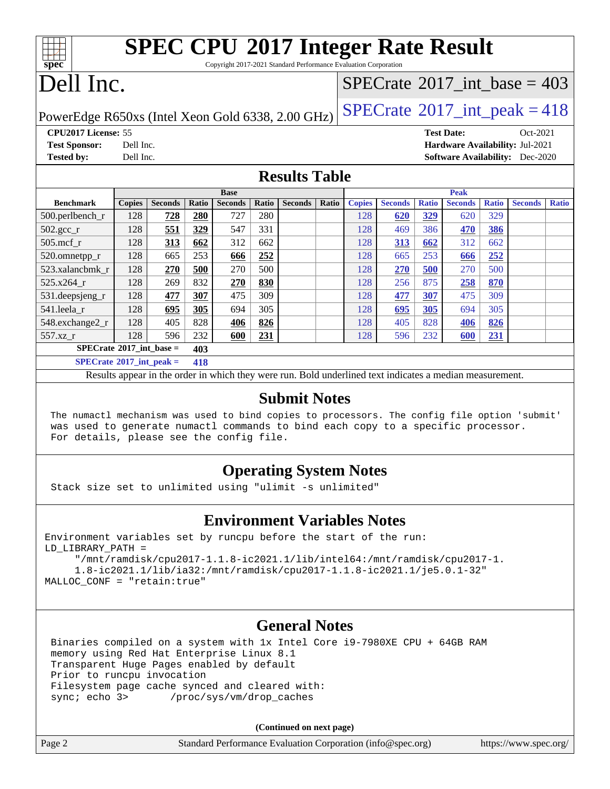# **[SPEC CPU](http://www.spec.org/auto/cpu2017/Docs/result-fields.html#SPECCPU2017IntegerRateResult)[2017 Integer Rate Result](http://www.spec.org/auto/cpu2017/Docs/result-fields.html#SPECCPU2017IntegerRateResult)**

Copyright 2017-2021 Standard Performance Evaluation Corporation

# Dell Inc.

**[spec](http://www.spec.org/)**

### $SPECTate$ <sup>®</sup>[2017\\_int\\_base =](http://www.spec.org/auto/cpu2017/Docs/result-fields.html#SPECrate2017intbase) 403

PowerEdge R650xs (Intel Xeon Gold 6338, 2.00 GHz)  $\left|$  [SPECrate](http://www.spec.org/auto/cpu2017/Docs/result-fields.html#SPECrate2017intpeak)<sup>®</sup>[2017\\_int\\_peak = 4](http://www.spec.org/auto/cpu2017/Docs/result-fields.html#SPECrate2017intpeak)18

**[CPU2017 License:](http://www.spec.org/auto/cpu2017/Docs/result-fields.html#CPU2017License)** 55 **[Test Date:](http://www.spec.org/auto/cpu2017/Docs/result-fields.html#TestDate)** Oct-2021 **[Test Sponsor:](http://www.spec.org/auto/cpu2017/Docs/result-fields.html#TestSponsor)** Dell Inc. **[Hardware Availability:](http://www.spec.org/auto/cpu2017/Docs/result-fields.html#HardwareAvailability)** Jul-2021 **[Tested by:](http://www.spec.org/auto/cpu2017/Docs/result-fields.html#Testedby)** Dell Inc. **[Software Availability:](http://www.spec.org/auto/cpu2017/Docs/result-fields.html#SoftwareAvailability)** Dec-2020

#### **[Results Table](http://www.spec.org/auto/cpu2017/Docs/result-fields.html#ResultsTable)**

|                                     | <b>Base</b>   |                |       |                | <b>Peak</b> |                |       |               |                |              |                |              |                |              |
|-------------------------------------|---------------|----------------|-------|----------------|-------------|----------------|-------|---------------|----------------|--------------|----------------|--------------|----------------|--------------|
| <b>Benchmark</b>                    | <b>Copies</b> | <b>Seconds</b> | Ratio | <b>Seconds</b> | Ratio       | <b>Seconds</b> | Ratio | <b>Copies</b> | <b>Seconds</b> | <b>Ratio</b> | <b>Seconds</b> | <b>Ratio</b> | <b>Seconds</b> | <b>Ratio</b> |
| 500.perlbench_r                     | 128           | 728            | 280   | 727            | 280         |                |       | 128           | 620            | 329          | 620            | 329          |                |              |
| $502.\text{gcc\_r}$                 | 128           | 551            | 329   | 547            | 331         |                |       | 128           | 469            | 386          | 470            | <u>386</u>   |                |              |
| $505$ .mcf r                        | 128           | 313            | 662   | 312            | 662         |                |       | 128           | 313            | 662          | 312            | 662          |                |              |
| 520.omnetpp_r                       | 128           | 665            | 253   | 666            | 252         |                |       | 128           | 665            | 253          | 666            | 252          |                |              |
| 523.xalancbmk r                     | 128           | 270            | 500   | 270            | 500         |                |       | 128           | 270            | 500          | 270            | 500          |                |              |
| 525.x264 r                          | 128           | 269            | 832   | 270            | 830         |                |       | 128           | 256            | 875          | 258            | 870          |                |              |
| 531.deepsjeng_r                     | 128           | 477            | 307   | 475            | 309         |                |       | 128           | 477            | 307          | 475            | 309          |                |              |
| 541.leela r                         | 128           | 695            | 305   | 694            | 305         |                |       | 128           | 695            | 305          | 694            | 305          |                |              |
| 548.exchange2_r                     | 128           | 405            | 828   | 406            | 826         |                |       | 128           | 405            | 828          | 406            | 826          |                |              |
| 557.xz r                            | 128           | 596            | 232   | 600            | 231         |                |       | 128           | 596            | 232          | 600            | 231          |                |              |
| $SPECrate^{\circ}2017\_int\_base =$ |               |                | 403   |                |             |                |       |               |                |              |                |              |                |              |
| $SPECrate^{\circ}2017\_int\_peak =$ |               |                | 418   |                |             |                |       |               |                |              |                |              |                |              |

Results appear in the [order in which they were run](http://www.spec.org/auto/cpu2017/Docs/result-fields.html#RunOrder). Bold underlined text [indicates a median measurement](http://www.spec.org/auto/cpu2017/Docs/result-fields.html#Median).

#### **[Submit Notes](http://www.spec.org/auto/cpu2017/Docs/result-fields.html#SubmitNotes)**

 The numactl mechanism was used to bind copies to processors. The config file option 'submit' was used to generate numactl commands to bind each copy to a specific processor. For details, please see the config file.

#### **[Operating System Notes](http://www.spec.org/auto/cpu2017/Docs/result-fields.html#OperatingSystemNotes)**

Stack size set to unlimited using "ulimit -s unlimited"

#### **[Environment Variables Notes](http://www.spec.org/auto/cpu2017/Docs/result-fields.html#EnvironmentVariablesNotes)**

Environment variables set by runcpu before the start of the run: LD\_LIBRARY\_PATH =

 "/mnt/ramdisk/cpu2017-1.1.8-ic2021.1/lib/intel64:/mnt/ramdisk/cpu2017-1. 1.8-ic2021.1/lib/ia32:/mnt/ramdisk/cpu2017-1.1.8-ic2021.1/je5.0.1-32" MALLOC\_CONF = "retain:true"

#### **[General Notes](http://www.spec.org/auto/cpu2017/Docs/result-fields.html#GeneralNotes)**

 Binaries compiled on a system with 1x Intel Core i9-7980XE CPU + 64GB RAM memory using Red Hat Enterprise Linux 8.1 Transparent Huge Pages enabled by default Prior to runcpu invocation Filesystem page cache synced and cleared with: sync; echo 3> /proc/sys/vm/drop\_caches

**(Continued on next page)**

| Page 2 | Standard Performance Evaluation Corporation (info@spec.org) | https://www.spec.org/ |
|--------|-------------------------------------------------------------|-----------------------|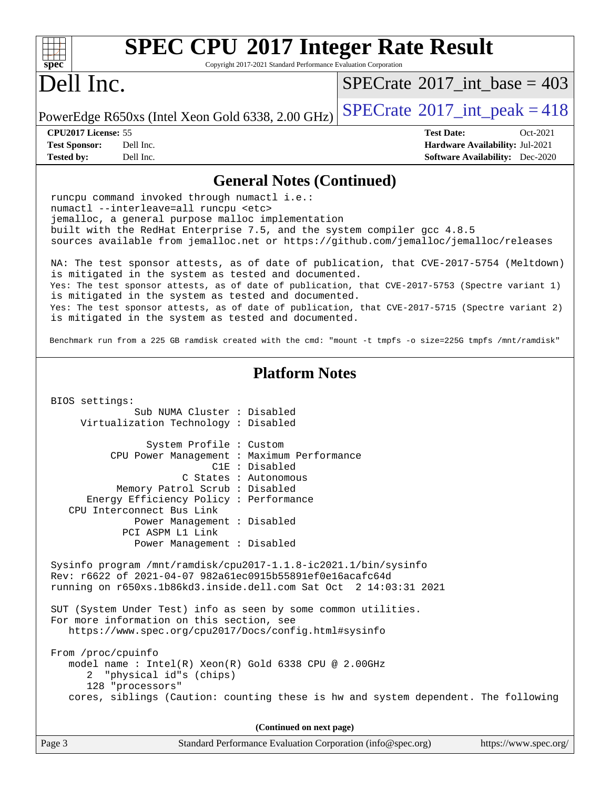| <b>SPEC CPU®2017 Integer Rate Result</b><br>Spec<br>Copyright 2017-2021 Standard Performance Evaluation Corporation                                                                                                                                                                                                                                                                                                                                                    |                                         |  |  |  |  |
|------------------------------------------------------------------------------------------------------------------------------------------------------------------------------------------------------------------------------------------------------------------------------------------------------------------------------------------------------------------------------------------------------------------------------------------------------------------------|-----------------------------------------|--|--|--|--|
| Dell Inc.                                                                                                                                                                                                                                                                                                                                                                                                                                                              | $SPECrate^{\circ}2017\_int\_base = 403$ |  |  |  |  |
| PowerEdge R650xs (Intel Xeon Gold 6338, 2.00 GHz)                                                                                                                                                                                                                                                                                                                                                                                                                      | $SPECrate^{\circ}2017\_int\_peak = 418$ |  |  |  |  |
| CPU2017 License: 55<br><b>Test Date:</b><br>Oct-2021<br><b>Test Sponsor:</b><br>Dell Inc.<br>Hardware Availability: Jul-2021<br><b>Tested by:</b><br>Dell Inc.<br><b>Software Availability:</b> Dec-2020                                                                                                                                                                                                                                                               |                                         |  |  |  |  |
|                                                                                                                                                                                                                                                                                                                                                                                                                                                                        |                                         |  |  |  |  |
| <b>General Notes (Continued)</b><br>runcpu command invoked through numactl i.e.:<br>numactl --interleave=all runcpu <etc><br/>jemalloc, a general purpose malloc implementation<br/>built with the RedHat Enterprise 7.5, and the system compiler gcc 4.8.5<br/>sources available from jemalloc.net or https://github.com/jemalloc/jemalloc/releases</etc>                                                                                                             |                                         |  |  |  |  |
| NA: The test sponsor attests, as of date of publication, that CVE-2017-5754 (Meltdown)<br>is mitigated in the system as tested and documented.<br>Yes: The test sponsor attests, as of date of publication, that CVE-2017-5753 (Spectre variant 1)<br>is mitigated in the system as tested and documented.<br>Yes: The test sponsor attests, as of date of publication, that CVE-2017-5715 (Spectre variant 2)<br>is mitigated in the system as tested and documented. |                                         |  |  |  |  |
| Benchmark run from a 225 GB ramdisk created with the cmd: "mount -t tmpfs -o size=225G tmpfs /mnt/ramdisk"                                                                                                                                                                                                                                                                                                                                                             |                                         |  |  |  |  |
| <b>Platform Notes</b>                                                                                                                                                                                                                                                                                                                                                                                                                                                  |                                         |  |  |  |  |
| BIOS settings:<br>Sub NUMA Cluster : Disabled<br>Virtualization Technology : Disabled                                                                                                                                                                                                                                                                                                                                                                                  |                                         |  |  |  |  |
| System Profile : Custom<br>CPU Power Management : Maximum Performance<br>$C1E$ : Disabled<br>C States : Autonomous<br>Memory Patrol Scrub : Disabled<br>Energy Efficiency Policy : Performance<br>CPU Interconnect Bus Link<br>Power Management : Disabled<br>PCI ASPM L1 Link<br>Power Management : Disabled                                                                                                                                                          |                                         |  |  |  |  |
| Sysinfo program /mnt/ramdisk/cpu2017-1.1.8-ic2021.1/bin/sysinfo<br>Rev: r6622 of 2021-04-07 982a61ec0915b55891ef0e16acafc64d<br>running on r650xs.1b86kd3.inside.dell.com Sat Oct 2 14:03:31 2021                                                                                                                                                                                                                                                                      |                                         |  |  |  |  |
| SUT (System Under Test) info as seen by some common utilities.<br>For more information on this section, see<br>https://www.spec.org/cpu2017/Docs/config.html#sysinfo                                                                                                                                                                                                                                                                                                   |                                         |  |  |  |  |
| From /proc/cpuinfo<br>model name : Intel(R) Xeon(R) Gold 6338 CPU @ 2.00GHz<br>2 "physical id"s (chips)<br>128 "processors"<br>cores, siblings (Caution: counting these is hw and system dependent. The following                                                                                                                                                                                                                                                      |                                         |  |  |  |  |
| (Continued on next page)                                                                                                                                                                                                                                                                                                                                                                                                                                               |                                         |  |  |  |  |
| $Standard$ Performance Evaluation Corporation $(info@space, ora)$<br>$\mathbf{p}_{\alpha\alpha\alpha}$ 3                                                                                                                                                                                                                                                                                                                                                               | http://www.                             |  |  |  |  |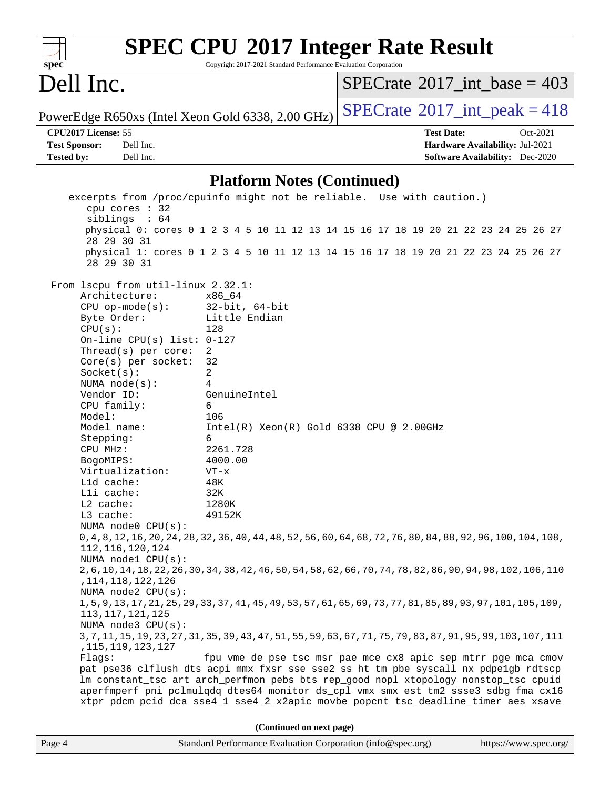| $spec^*$                                                                                                                                                                                                                                                         | <b>SPEC CPU®2017 Integer Rate Result</b><br>Copyright 2017-2021 Standard Performance Evaluation Corporation |                                             |
|------------------------------------------------------------------------------------------------------------------------------------------------------------------------------------------------------------------------------------------------------------------|-------------------------------------------------------------------------------------------------------------|---------------------------------------------|
| Dell Inc.                                                                                                                                                                                                                                                        |                                                                                                             | $SPECrate^{\circledast}2017$ int base = 403 |
| PowerEdge R650xs (Intel Xeon Gold 6338, 2.00 GHz)                                                                                                                                                                                                                |                                                                                                             | $SPECrate^{\circ}2017\_int\_peak = 418$     |
| CPU2017 License: 55                                                                                                                                                                                                                                              |                                                                                                             | <b>Test Date:</b><br>Oct-2021               |
| Dell Inc.<br><b>Test Sponsor:</b>                                                                                                                                                                                                                                |                                                                                                             | Hardware Availability: Jul-2021             |
| <b>Tested by:</b><br>Dell Inc.                                                                                                                                                                                                                                   |                                                                                                             | <b>Software Availability:</b> Dec-2020      |
|                                                                                                                                                                                                                                                                  | <b>Platform Notes (Continued)</b>                                                                           |                                             |
| excerpts from /proc/cpuinfo might not be reliable. Use with caution.)                                                                                                                                                                                            |                                                                                                             |                                             |
| cpu cores : 32                                                                                                                                                                                                                                                   |                                                                                                             |                                             |
| siblings : 64                                                                                                                                                                                                                                                    | physical 0: cores 0 1 2 3 4 5 10 11 12 13 14 15 16 17 18 19 20 21 22 23 24 25 26 27                         |                                             |
| 28 29 30 31                                                                                                                                                                                                                                                      |                                                                                                             |                                             |
| 28 29 30 31                                                                                                                                                                                                                                                      | physical 1: cores 0 1 2 3 4 5 10 11 12 13 14 15 16 17 18 19 20 21 22 23 24 25 26 27                         |                                             |
| From lscpu from util-linux 2.32.1:                                                                                                                                                                                                                               |                                                                                                             |                                             |
| Architecture:                                                                                                                                                                                                                                                    | x86 64                                                                                                      |                                             |
| $CPU$ op-mode( $s$ ):                                                                                                                                                                                                                                            | $32$ -bit, $64$ -bit                                                                                        |                                             |
| Byte Order:                                                                                                                                                                                                                                                      | Little Endian                                                                                               |                                             |
| CPU(s):                                                                                                                                                                                                                                                          | 128                                                                                                         |                                             |
| On-line CPU(s) list: $0-127$<br>Thread(s) per core:                                                                                                                                                                                                              | 2                                                                                                           |                                             |
| Core(s) per socket:                                                                                                                                                                                                                                              | 32                                                                                                          |                                             |
| Socket(s):                                                                                                                                                                                                                                                       | 2                                                                                                           |                                             |
| NUMA $node(s):$                                                                                                                                                                                                                                                  | 4                                                                                                           |                                             |
| Vendor ID:                                                                                                                                                                                                                                                       | GenuineIntel                                                                                                |                                             |
| CPU family:                                                                                                                                                                                                                                                      | 6                                                                                                           |                                             |
| Model:                                                                                                                                                                                                                                                           | 106                                                                                                         |                                             |
| Model name:<br>Stepping:                                                                                                                                                                                                                                         | $Intel(R)$ Xeon $(R)$ Gold 6338 CPU @ 2.00GHz<br>6                                                          |                                             |
| CPU MHz:                                                                                                                                                                                                                                                         | 2261.728                                                                                                    |                                             |
| BogoMIPS:                                                                                                                                                                                                                                                        | 4000.00                                                                                                     |                                             |
| Virtualization:                                                                                                                                                                                                                                                  | $VT - x$                                                                                                    |                                             |
| Lld cache:                                                                                                                                                                                                                                                       | 48K                                                                                                         |                                             |
| Lli cache:                                                                                                                                                                                                                                                       | 32K                                                                                                         |                                             |
| L2 cache:<br>L3 cache:                                                                                                                                                                                                                                           | 1280K<br>49152K                                                                                             |                                             |
| NUMA node0 CPU(s):                                                                                                                                                                                                                                               |                                                                                                             |                                             |
| 0, 4, 8, 12, 16, 20, 24, 28, 32, 36, 40, 44, 48, 52, 56, 60, 64, 68, 72, 76, 80, 84, 88, 92, 96, 100, 104, 108,<br>112, 116, 120, 124                                                                                                                            |                                                                                                             |                                             |
| NUMA nodel CPU(s):<br>2,6,10,14,18,22,26,30,34,38,42,46,50,54,58,62,66,70,74,78,82,86,90,94,98,102,106,110                                                                                                                                                       |                                                                                                             |                                             |
| , 114, 118, 122, 126<br>NUMA $node2$ $CPU(s)$ :                                                                                                                                                                                                                  |                                                                                                             |                                             |
| 1, 5, 9, 13, 17, 21, 25, 29, 33, 37, 41, 45, 49, 53, 57, 61, 65, 69, 73, 77, 81, 85, 89, 93, 97, 101, 105, 109,<br>113, 117, 121, 125                                                                                                                            |                                                                                                             |                                             |
| NUMA node3 CPU(s):                                                                                                                                                                                                                                               |                                                                                                             |                                             |
| 3, 7, 11, 15, 19, 23, 27, 31, 35, 39, 43, 47, 51, 55, 59, 63, 67, 71, 75, 79, 83, 87, 91, 95, 99, 103, 107, 111                                                                                                                                                  |                                                                                                             |                                             |
| , 115, 119, 123, 127<br>Flags:                                                                                                                                                                                                                                   | fpu vme de pse tsc msr pae mce cx8 apic sep mtrr pge mca cmov                                               |                                             |
| pat pse36 clflush dts acpi mmx fxsr sse sse2 ss ht tm pbe syscall nx pdpelgb rdtscp<br>lm constant_tsc art arch_perfmon pebs bts rep_good nopl xtopology nonstop_tsc cpuid<br>aperfmperf pni pclmulqdq dtes64 monitor ds_cpl vmx smx est tm2 ssse3 sdbg fma cx16 |                                                                                                             |                                             |
| xtpr pdcm pcid dca sse4_1 sse4_2 x2apic movbe popcnt tsc_deadline_timer aes xsave                                                                                                                                                                                |                                                                                                             |                                             |
|                                                                                                                                                                                                                                                                  |                                                                                                             |                                             |
|                                                                                                                                                                                                                                                                  | (Continued on next page)                                                                                    |                                             |
| Page 4                                                                                                                                                                                                                                                           | Standard Performance Evaluation Corporation (info@spec.org)                                                 | https://www.spec.org/                       |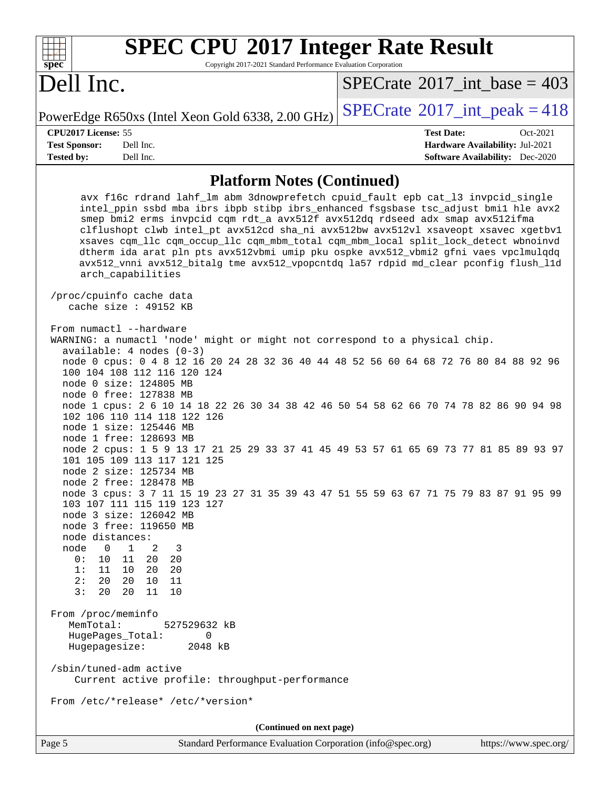| <b>SPEC CPU®2017 Integer Rate Result</b><br>$spec^*$<br>Copyright 2017-2021 Standard Performance Evaluation Corporation                                                                                                                                                                                                                      |           |                                                   |  |                                             |          |  |
|----------------------------------------------------------------------------------------------------------------------------------------------------------------------------------------------------------------------------------------------------------------------------------------------------------------------------------------------|-----------|---------------------------------------------------|--|---------------------------------------------|----------|--|
| Dell Inc.                                                                                                                                                                                                                                                                                                                                    |           |                                                   |  | $SPECrate^{\circledast}2017$ int base = 403 |          |  |
|                                                                                                                                                                                                                                                                                                                                              |           | PowerEdge R650xs (Intel Xeon Gold 6338, 2.00 GHz) |  | $SPECTate$ <sup>®</sup> 2017_int_peak = 418 |          |  |
| <b>CPU2017 License: 55</b>                                                                                                                                                                                                                                                                                                                   |           |                                                   |  | <b>Test Date:</b>                           | Oct-2021 |  |
| <b>Test Sponsor:</b>                                                                                                                                                                                                                                                                                                                         | Dell Inc. |                                                   |  | <b>Hardware Availability: Jul-2021</b>      |          |  |
| <b>Tested by:</b>                                                                                                                                                                                                                                                                                                                            | Dell Inc. |                                                   |  | <b>Software Availability:</b> Dec-2020      |          |  |
| <b>Platform Notes (Continued)</b>                                                                                                                                                                                                                                                                                                            |           |                                                   |  |                                             |          |  |
| avx f16c rdrand lahf_lm abm 3dnowprefetch cpuid_fault epb cat_13 invpcid_single<br>intel_ppin ssbd mba ibrs ibpb stibp ibrs_enhanced fsgsbase tsc_adjust bmil hle avx2<br>smep bmi2 erms invpcid cqm rdt_a avx512f avx512dq rdseed adx smap avx512ifma<br>clflushopt clwb intel_pt avx512cd sha_ni avx512bw avx512vl xsaveopt xsavec xgetbvl |           |                                                   |  |                                             |          |  |

 xsaves cqm\_llc cqm\_occup\_llc cqm\_mbm\_total cqm\_mbm\_local split\_lock\_detect wbnoinvd dtherm ida arat pln pts avx512vbmi umip pku ospke avx512\_vbmi2 gfni vaes vpclmulqdq avx512\_vnni avx512\_bitalg tme avx512\_vpopcntdq la57 rdpid md\_clear pconfig flush\_l1d arch\_capabilities

 /proc/cpuinfo cache data cache size : 49152 KB

From numactl --hardware WARNING: a numactl 'node' might or might not correspond to a physical chip. available: 4 nodes (0-3) node 0 cpus: 0 4 8 12 16 20 24 28 32 36 40 44 48 52 56 60 64 68 72 76 80 84 88 92 96 100 104 108 112 116 120 124 node 0 size: 124805 MB node 0 free: 127838 MB node 1 cpus: 2 6 10 14 18 22 26 30 34 38 42 46 50 54 58 62 66 70 74 78 82 86 90 94 98 102 106 110 114 118 122 126 node 1 size: 125446 MB node 1 free: 128693 MB node 2 cpus: 1 5 9 13 17 21 25 29 33 37 41 45 49 53 57 61 65 69 73 77 81 85 89 93 97 101 105 109 113 117 121 125 node 2 size: 125734 MB node 2 free: 128478 MB node 3 cpus: 3 7 11 15 19 23 27 31 35 39 43 47 51 55 59 63 67 71 75 79 83 87 91 95 99 103 107 111 115 119 123 127 node 3 size: 126042 MB node 3 free: 119650 MB node distances: node 0 1 2 3 0: 10 11 20 20 1: 11 10 20 20 2: 20 20 10 11 3: 20 20 11 10 From /proc/meminfo MemTotal: 527529632 kB HugePages\_Total: 0 Hugepagesize: 2048 kB /sbin/tuned-adm active Current active profile: throughput-performance From /etc/\*release\* /etc/\*version\* **(Continued on next page)**

Page 5 Standard Performance Evaluation Corporation [\(info@spec.org\)](mailto:info@spec.org) <https://www.spec.org/>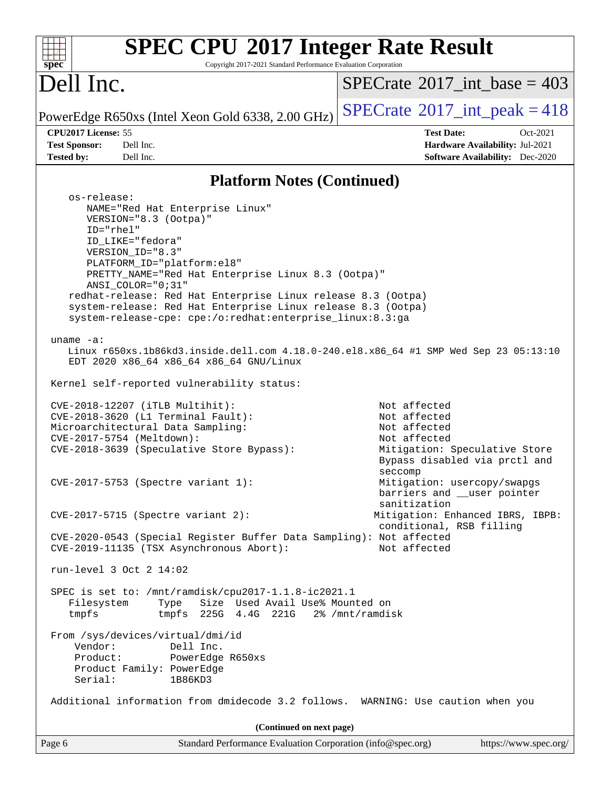| <b>SPEC CPU®2017 Integer Rate Result</b><br>Copyright 2017-2021 Standard Performance Evaluation Corporation<br>spec                                                                       |                                                                                                                                |
|-------------------------------------------------------------------------------------------------------------------------------------------------------------------------------------------|--------------------------------------------------------------------------------------------------------------------------------|
| Dell Inc.                                                                                                                                                                                 | $SPECrate^{\circledast}2017$ int base = 403                                                                                    |
| PowerEdge R650xs (Intel Xeon Gold 6338, 2.00 GHz)                                                                                                                                         | $SPECrate@2017(int _peak = 418$                                                                                                |
| CPU2017 License: 55                                                                                                                                                                       | <b>Test Date:</b><br>Oct-2021                                                                                                  |
| <b>Test Sponsor:</b><br>Dell Inc.                                                                                                                                                         | Hardware Availability: Jul-2021                                                                                                |
| Tested by:<br>Dell Inc.                                                                                                                                                                   | <b>Software Availability:</b> Dec-2020                                                                                         |
| <b>Platform Notes (Continued)</b>                                                                                                                                                         |                                                                                                                                |
| os-release:<br>NAME="Red Hat Enterprise Linux"<br>VERSION="8.3 (Ootpa)"<br>ID="rhel"                                                                                                      |                                                                                                                                |
| ID_LIKE="fedora"<br>VERSION ID="8.3"                                                                                                                                                      |                                                                                                                                |
| PLATFORM_ID="platform:el8"<br>PRETTY_NAME="Red Hat Enterprise Linux 8.3 (Ootpa)"<br>ANSI COLOR="0;31"                                                                                     |                                                                                                                                |
| redhat-release: Red Hat Enterprise Linux release 8.3 (Ootpa)<br>system-release: Red Hat Enterprise Linux release 8.3 (Ootpa)<br>system-release-cpe: cpe:/o:redhat:enterprise_linux:8.3:ga |                                                                                                                                |
| uname $-a$ :<br>Linux r650xs.1b86kd3.inside.dell.com 4.18.0-240.el8.x86_64 #1 SMP Wed Sep 23 05:13:10<br>EDT 2020 x86_64 x86_64 x86_64 GNU/Linux                                          |                                                                                                                                |
| Kernel self-reported vulnerability status:                                                                                                                                                |                                                                                                                                |
| CVE-2018-12207 (iTLB Multihit):<br>CVE-2018-3620 (L1 Terminal Fault):<br>Microarchitectural Data Sampling:<br>CVE-2017-5754 (Meltdown):<br>CVE-2018-3639 (Speculative Store Bypass):      | Not affected<br>Not affected<br>Not affected<br>Not affected<br>Mitigation: Speculative Store<br>Bypass disabled via prctl and |
| CVE-2017-5753 (Spectre variant 1):                                                                                                                                                        | seccomp<br>Mitigation: usercopy/swapgs<br>barriers and __user pointer<br>sanitization                                          |
| $CVE-2017-5715$ (Spectre variant 2):                                                                                                                                                      | Mitigation: Enhanced IBRS, IBPB:<br>conditional, RSB filling                                                                   |
| CVE-2020-0543 (Special Register Buffer Data Sampling): Not affected<br>CVE-2019-11135 (TSX Asynchronous Abort):                                                                           | Not affected                                                                                                                   |
| run-level 3 Oct 2 14:02                                                                                                                                                                   |                                                                                                                                |
| SPEC is set to: /mnt/ramdisk/cpu2017-1.1.8-ic2021.1<br>Size Used Avail Use% Mounted on<br>Type<br>Filesystem<br>tmpfs<br>tmpfs<br>225G   4.4G   221G                                      | 2% /mnt/ramdisk                                                                                                                |
| From /sys/devices/virtual/dmi/id<br>Vendor:<br>Dell Inc.<br>Product:<br>PowerEdge R650xs<br>Product Family: PowerEdge<br>Serial:<br>1B86KD3                                               |                                                                                                                                |
| Additional information from dmidecode 3.2 follows. WARNING: Use caution when you                                                                                                          |                                                                                                                                |
| (Continued on next page)                                                                                                                                                                  |                                                                                                                                |
| Standard Performance Evaluation Corporation (info@spec.org)<br>Page 6                                                                                                                     | https://www.spec.org/                                                                                                          |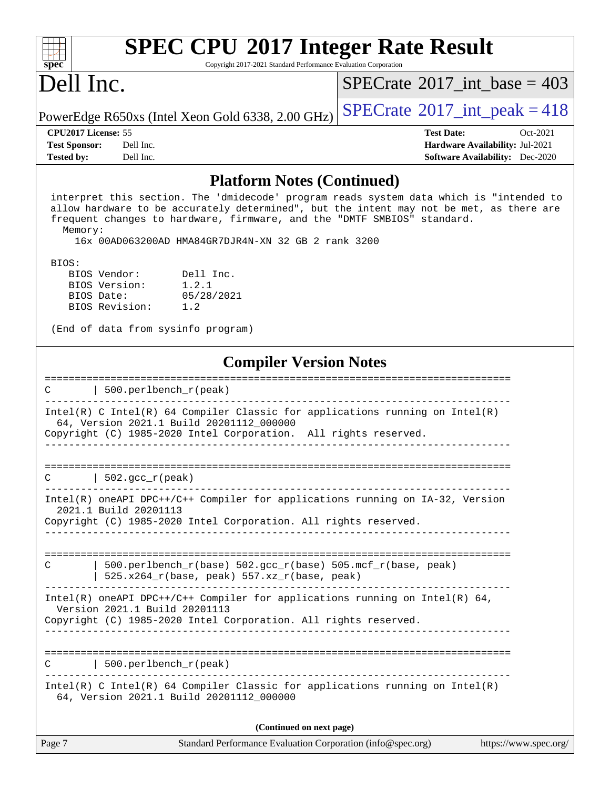| $spec^*$                   | <b>SPEC CPU®2017 Integer Rate Result</b><br>Copyright 2017-2021 Standard Performance Evaluation Corporation |                                                   |  |                                         |          |  |  |
|----------------------------|-------------------------------------------------------------------------------------------------------------|---------------------------------------------------|--|-----------------------------------------|----------|--|--|
| Dell Inc.                  |                                                                                                             |                                                   |  | $SPECrate^{\circ}2017\_int\_base = 403$ |          |  |  |
|                            |                                                                                                             | PowerEdge R650xs (Intel Xeon Gold 6338, 2.00 GHz) |  | $SPECTate@2017_int\_peak = 418$         |          |  |  |
| <b>CPU2017 License: 55</b> |                                                                                                             |                                                   |  | <b>Test Date:</b>                       | Oct-2021 |  |  |
| <b>Test Sponsor:</b>       | Dell Inc.                                                                                                   |                                                   |  | Hardware Availability: Jul-2021         |          |  |  |
| <b>Tested by:</b>          | Dell Inc.                                                                                                   |                                                   |  | <b>Software Availability:</b> Dec-2020  |          |  |  |
|                            |                                                                                                             | <b>Platform Notes (Continued)</b>                 |  |                                         |          |  |  |

#### interpret this section. The 'dmidecode' program reads system data which is "intended to allow hardware to be accurately determined", but the intent may not be met, as there are frequent changes to hardware, firmware, and the "DMTF SMBIOS" standard.

Memory:

16x 00AD063200AD HMA84GR7DJR4N-XN 32 GB 2 rank 3200

BIOS:

BIOS Vendor: Dell Inc.<br>BIOS Version: 1.2.1 BIOS Version: 1.2.1<br>BIOS Date: 05/28/2021 BIOS Date: BIOS Revision: 1.2

(End of data from sysinfo program)

#### **[Compiler Version Notes](http://www.spec.org/auto/cpu2017/Docs/result-fields.html#CompilerVersionNotes)**

| $\mathcal{C}$ | ========================<br>$ 500.\text{perlbench r (peak)}$<br>-------------------------                                                                                                     |
|---------------|-----------------------------------------------------------------------------------------------------------------------------------------------------------------------------------------------|
|               | $Intel(R)$ C Intel(R) 64 Compiler Classic for applications running on Intel(R)<br>64, Version 2021.1 Build 20201112_000000<br>Copyright (C) 1985-2020 Intel Corporation. All rights reserved. |
|               |                                                                                                                                                                                               |
|               | $C$   502. gcc $r$ (peak)                                                                                                                                                                     |
|               | $Intel(R)$ oneAPI DPC++/C++ Compiler for applications running on $IA-32$ , Version<br>2021.1 Build 20201113                                                                                   |
|               | Copyright (C) 1985-2020 Intel Corporation. All rights reserved.                                                                                                                               |
| C             | 500.perlbench_r(base) 502.gcc_r(base) 505.mcf_r(base, peak)<br>525.x264_r(base, peak) 557.xz_r(base, peak)                                                                                    |
|               | Intel(R) oneAPI DPC++/C++ Compiler for applications running on Intel(R) $64$ ,<br>Version 2021.1 Build 20201113<br>Copyright (C) 1985-2020 Intel Corporation. All rights reserved.            |
|               | $\text{C}$   500.perlbench_r(peak)                                                                                                                                                            |
|               | Intel(R) C Intel(R) 64 Compiler Classic for applications running on Intel(R)<br>64, Version 2021.1 Build 20201112_000000                                                                      |
|               | (Continued on next page)                                                                                                                                                                      |
| Page 7        | Standard Performance Evaluation Corporation (info@spec.org)<br>https://www.spec.org/                                                                                                          |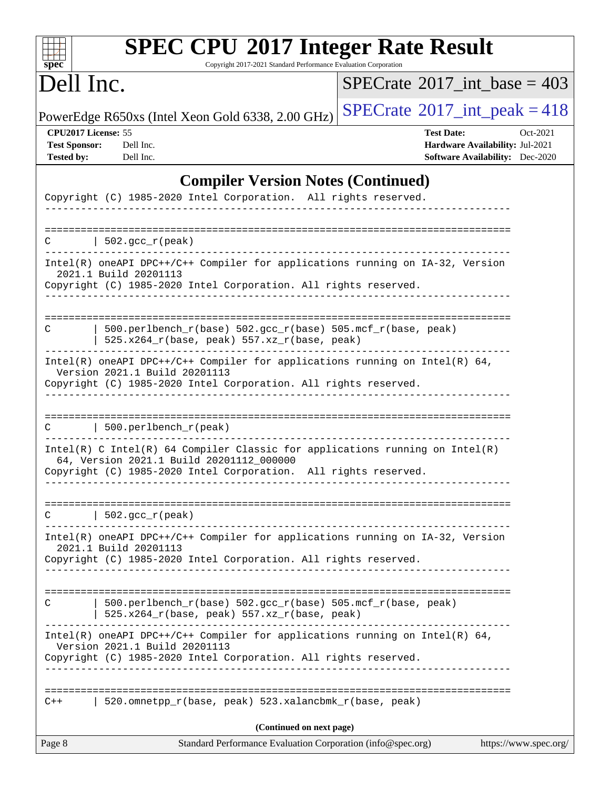| <b>SPEC CPU®2017 Integer Rate Result</b><br>$spec^*$<br>Copyright 2017-2021 Standard Performance Evaluation Corporation                                                                     |                                                                                                            |
|---------------------------------------------------------------------------------------------------------------------------------------------------------------------------------------------|------------------------------------------------------------------------------------------------------------|
| Dell Inc.                                                                                                                                                                                   | $SPECrate^{\circ}2017\_int\_base = 403$                                                                    |
| PowerEdge R650xs (Intel Xeon Gold 6338, 2.00 GHz)                                                                                                                                           | $SPECTate$ <sup>®</sup> 2017_int_peak = 418                                                                |
| CPU2017 License: 55<br><b>Test Sponsor:</b><br>Dell Inc.<br><b>Tested by:</b><br>Dell Inc.                                                                                                  | <b>Test Date:</b><br>Oct-2021<br>Hardware Availability: Jul-2021<br><b>Software Availability:</b> Dec-2020 |
| <b>Compiler Version Notes (Continued)</b><br>Copyright (C) 1985-2020 Intel Corporation. All rights reserved.                                                                                |                                                                                                            |
| $ 502.\text{sec}_r(\text{peak}) $<br>C.                                                                                                                                                     |                                                                                                            |
| Intel(R) oneAPI DPC++/C++ Compiler for applications running on IA-32, Version<br>2021.1 Build 20201113<br>Copyright (C) 1985-2020 Intel Corporation. All rights reserved.                   |                                                                                                            |
| 500.perlbench_r(base) 502.gcc_r(base) 505.mcf_r(base, peak)<br>C<br>525.x264_r(base, peak) 557.xz_r(base, peak)                                                                             |                                                                                                            |
| Intel(R) oneAPI DPC++/C++ Compiler for applications running on Intel(R) $64$ ,<br>Version 2021.1 Build 20201113<br>Copyright (C) 1985-2020 Intel Corporation. All rights reserved.          |                                                                                                            |
| 500.perlbench_r(peak)                                                                                                                                                                       |                                                                                                            |
| Intel(R) C Intel(R) 64 Compiler Classic for applications running on Intel(R)<br>64, Version 2021.1 Build 20201112_000000<br>Copyright (C) 1985-2020 Intel Corporation. All rights reserved. |                                                                                                            |
| $\vert$ 502.gcc_r(peak)<br>C.                                                                                                                                                               |                                                                                                            |
| Intel(R) oneAPI DPC++/C++ Compiler for applications running on IA-32, Version<br>2021.1 Build 20201113<br>Copyright (C) 1985-2020 Intel Corporation. All rights reserved.                   |                                                                                                            |
| 500.perlbench_r(base) 502.gcc_r(base) 505.mcf_r(base, peak)<br>C<br>525.x264_r(base, peak) 557.xz_r(base, peak)                                                                             |                                                                                                            |
| Intel(R) oneAPI DPC++/C++ Compiler for applications running on Intel(R) $64$ ,<br>Version 2021.1 Build 20201113<br>Copyright (C) 1985-2020 Intel Corporation. All rights reserved.          |                                                                                                            |
| 520.omnetpp_r(base, peak) 523.xalancbmk_r(base, peak)<br>$C++$                                                                                                                              |                                                                                                            |
| (Continued on next page)<br>Page 8<br>Standard Performance Evaluation Corporation (info@spec.org)                                                                                           | https://www.spec.org/                                                                                      |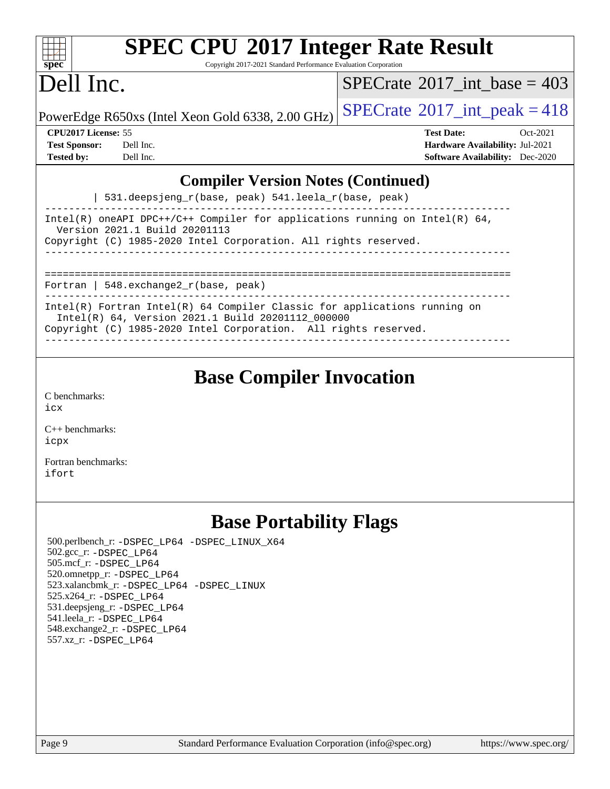| <b>SPEC CPU®2017 Integer Rate Result</b><br>Copyright 2017-2021 Standard Performance Evaluation Corporation<br>$spec^*$                                                                                                                                                                              |                                                                                                            |
|------------------------------------------------------------------------------------------------------------------------------------------------------------------------------------------------------------------------------------------------------------------------------------------------------|------------------------------------------------------------------------------------------------------------|
| Dell Inc.                                                                                                                                                                                                                                                                                            | $SPECrate^{\circledcirc}2017$ int base = 403                                                               |
| PowerEdge R650xs (Intel Xeon Gold 6338, 2.00 GHz)                                                                                                                                                                                                                                                    | $SPECTate$ <sup>®</sup> 2017_int_peak = 418                                                                |
| CPU2017 License: 55<br><b>Test Sponsor:</b><br>Dell Inc.<br><b>Tested by:</b><br>Dell Inc.                                                                                                                                                                                                           | <b>Test Date:</b><br>Oct-2021<br>Hardware Availability: Jul-2021<br><b>Software Availability:</b> Dec-2020 |
| <b>Compiler Version Notes (Continued)</b>                                                                                                                                                                                                                                                            |                                                                                                            |
| 531.deepsjeng_r(base, peak) 541.leela_r(base, peak)                                                                                                                                                                                                                                                  |                                                                                                            |
| Intel(R) oneAPI DPC++/C++ Compiler for applications running on Intel(R) $64$ ,<br>Version 2021.1 Build 20201113<br>Copyright (C) 1985-2020 Intel Corporation. All rights reserved.                                                                                                                   |                                                                                                            |
| Fortran   548.exchange2_r(base, peak)                                                                                                                                                                                                                                                                |                                                                                                            |
| Intel(R) Fortran Intel(R) 64 Compiler Classic for applications running on<br>Intel(R) 64, Version 2021.1 Build 20201112_000000<br>Copyright (C) 1985-2020 Intel Corporation. All rights reserved.                                                                                                    |                                                                                                            |
| <b>Base Compiler Invocation</b>                                                                                                                                                                                                                                                                      |                                                                                                            |
| C benchmarks:<br>icx                                                                                                                                                                                                                                                                                 |                                                                                                            |
| $C_{++}$ benchmarks:<br>icpx                                                                                                                                                                                                                                                                         |                                                                                                            |
| Fortran benchmarks:<br>itort                                                                                                                                                                                                                                                                         |                                                                                                            |
| <b>Base Portability Flags</b>                                                                                                                                                                                                                                                                        |                                                                                                            |
| 500.perlbench_r: -DSPEC_LP64 -DSPEC_LINUX_X64<br>502.gcc_r: -DSPEC LP64<br>505.mcf_r: -DSPEC_LP64<br>520.omnetpp_r: -DSPEC LP64<br>523.xalancbmk_r: -DSPEC_LP64 -DSPEC_LINUX<br>525.x264_r: - DSPEC LP64<br>531.deepsjeng_r: -DSPEC_LP64<br>541.leela_r: -DSPEC_LP64<br>548.exchange2_r: -DSPEC_LP64 |                                                                                                            |

557.xz\_r: [-DSPEC\\_LP64](http://www.spec.org/cpu2017/results/res2021q4/cpu2017-20211025-29782.flags.html#suite_basePORTABILITY557_xz_r_DSPEC_LP64)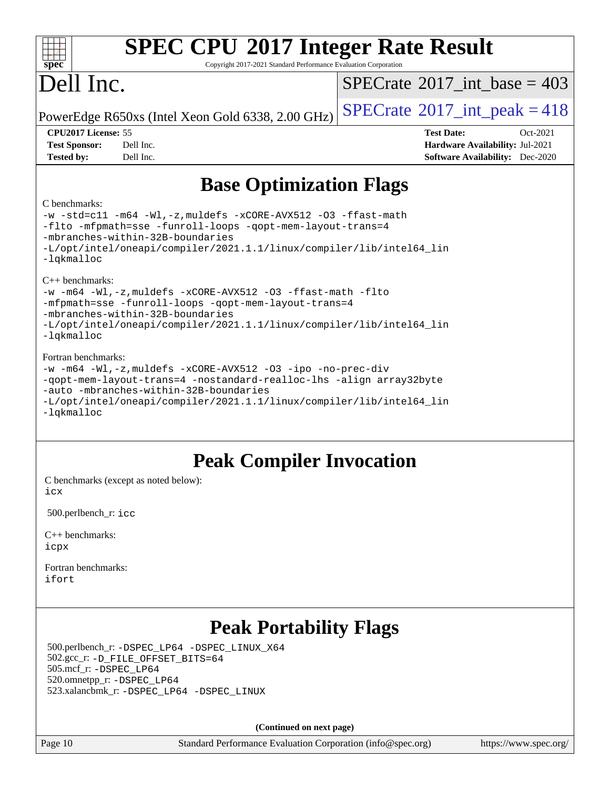| <b>SPEC CPU®2017 Integer Rate Result</b><br>Copyright 2017-2021 Standard Performance Evaluation Corporation<br>$spec^*$                                                                                                                                                                   |                                                                                                            |  |  |  |  |  |
|-------------------------------------------------------------------------------------------------------------------------------------------------------------------------------------------------------------------------------------------------------------------------------------------|------------------------------------------------------------------------------------------------------------|--|--|--|--|--|
| Dell Inc.                                                                                                                                                                                                                                                                                 | $SPECTate$ <sup>®</sup> 2017 int base = 403                                                                |  |  |  |  |  |
| PowerEdge R650xs (Intel Xeon Gold 6338, 2.00 GHz)                                                                                                                                                                                                                                         | $SPECTate$ <sup>®</sup> 2017_int_peak = 418                                                                |  |  |  |  |  |
| CPU2017 License: 55<br><b>Test Sponsor:</b><br>Dell Inc.<br>Dell Inc.<br><b>Tested by:</b>                                                                                                                                                                                                | <b>Test Date:</b><br>Oct-2021<br>Hardware Availability: Jul-2021<br><b>Software Availability:</b> Dec-2020 |  |  |  |  |  |
| <b>Base Optimization Flags</b>                                                                                                                                                                                                                                                            |                                                                                                            |  |  |  |  |  |
| C benchmarks:<br>$-w$ -std=cll -m64 -Wl,-z, muldefs -xCORE-AVX512 -O3 -ffast-math<br>-flto -mfpmath=sse -funroll-loops -qopt-mem-layout-trans=4<br>-mbranches-within-32B-boundaries<br>-L/opt/intel/oneapi/compiler/2021.1.1/linux/compiler/lib/intel64_lin<br>-lqkmalloc                 |                                                                                                            |  |  |  |  |  |
| $C_{++}$ benchmarks:<br>-w -m64 -Wl,-z, muldefs -xCORE-AVX512 -O3 -ffast-math -flto<br>-mfpmath=sse -funroll-loops -qopt-mem-layout-trans=4<br>-mbranches-within-32B-boundaries<br>-L/opt/intel/oneapi/compiler/2021.1.1/linux/compiler/lib/intel64_lin<br>-lqkmalloc                     |                                                                                                            |  |  |  |  |  |
| Fortran benchmarks:<br>-w -m64 -Wl,-z, muldefs -xCORE-AVX512 -O3 -ipo -no-prec-div<br>-qopt-mem-layout-trans=4 -nostandard-realloc-lhs -align array32byte<br>-auto -mbranches-within-32B-boundaries<br>-L/opt/intel/oneapi/compiler/2021.1.1/linux/compiler/lib/intel64_lin<br>-lqkmalloc |                                                                                                            |  |  |  |  |  |
| <b>Peak Compiler Invocation</b>                                                                                                                                                                                                                                                           |                                                                                                            |  |  |  |  |  |
| C benchmarks (except as noted below):<br>icx                                                                                                                                                                                                                                              |                                                                                                            |  |  |  |  |  |
| 500.perlbench_r: icc                                                                                                                                                                                                                                                                      |                                                                                                            |  |  |  |  |  |
| $C_{++}$ benchmarks:                                                                                                                                                                                                                                                                      |                                                                                                            |  |  |  |  |  |

[icpx](http://www.spec.org/cpu2017/results/res2021q4/cpu2017-20211025-29782.flags.html#user_CXXpeak_intel_icpx_1e918ed14c436bf4b9b7c8bcdd51d4539fc71b3df010bd1e9f8732d9c34c2b2914e48204a846820f3c0ebb4095dea797a5c30b458ac0b6dffac65d78f781f5ca)

[Fortran benchmarks](http://www.spec.org/auto/cpu2017/Docs/result-fields.html#Fortranbenchmarks): [ifort](http://www.spec.org/cpu2017/results/res2021q4/cpu2017-20211025-29782.flags.html#user_FCpeak_intel_ifort_8111460550e3ca792625aed983ce982f94888b8b503583aa7ba2b8303487b4d8a21a13e7191a45c5fd58ff318f48f9492884d4413fa793fd88dd292cad7027ca)

# **[Peak Portability Flags](http://www.spec.org/auto/cpu2017/Docs/result-fields.html#PeakPortabilityFlags)**

 500.perlbench\_r: [-DSPEC\\_LP64](http://www.spec.org/cpu2017/results/res2021q4/cpu2017-20211025-29782.flags.html#b500.perlbench_r_peakPORTABILITY_DSPEC_LP64) [-DSPEC\\_LINUX\\_X64](http://www.spec.org/cpu2017/results/res2021q4/cpu2017-20211025-29782.flags.html#b500.perlbench_r_peakCPORTABILITY_DSPEC_LINUX_X64) 502.gcc\_r: [-D\\_FILE\\_OFFSET\\_BITS=64](http://www.spec.org/cpu2017/results/res2021q4/cpu2017-20211025-29782.flags.html#user_peakPORTABILITY502_gcc_r_file_offset_bits_64_5ae949a99b284ddf4e95728d47cb0843d81b2eb0e18bdfe74bbf0f61d0b064f4bda2f10ea5eb90e1dcab0e84dbc592acfc5018bc955c18609f94ddb8d550002c) 505.mcf\_r: [-DSPEC\\_LP64](http://www.spec.org/cpu2017/results/res2021q4/cpu2017-20211025-29782.flags.html#suite_peakPORTABILITY505_mcf_r_DSPEC_LP64) 520.omnetpp\_r: [-DSPEC\\_LP64](http://www.spec.org/cpu2017/results/res2021q4/cpu2017-20211025-29782.flags.html#suite_peakPORTABILITY520_omnetpp_r_DSPEC_LP64) 523.xalancbmk\_r: [-DSPEC\\_LP64](http://www.spec.org/cpu2017/results/res2021q4/cpu2017-20211025-29782.flags.html#suite_peakPORTABILITY523_xalancbmk_r_DSPEC_LP64) [-DSPEC\\_LINUX](http://www.spec.org/cpu2017/results/res2021q4/cpu2017-20211025-29782.flags.html#b523.xalancbmk_r_peakCXXPORTABILITY_DSPEC_LINUX)

**(Continued on next page)**

Page 10 Standard Performance Evaluation Corporation [\(info@spec.org\)](mailto:info@spec.org) <https://www.spec.org/>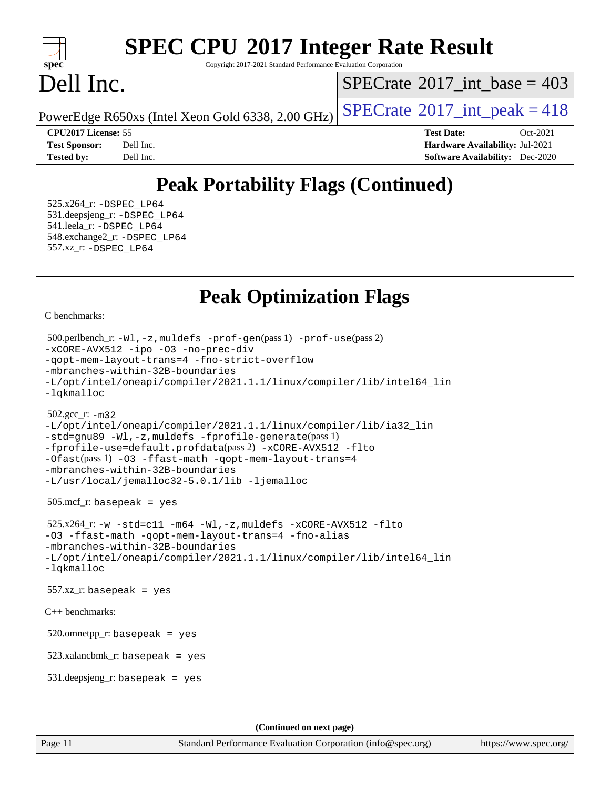#### $+\ +$ **[spec](http://www.spec.org/)**

# **[SPEC CPU](http://www.spec.org/auto/cpu2017/Docs/result-fields.html#SPECCPU2017IntegerRateResult)[2017 Integer Rate Result](http://www.spec.org/auto/cpu2017/Docs/result-fields.html#SPECCPU2017IntegerRateResult)**

Copyright 2017-2021 Standard Performance Evaluation Corporation

# Dell Inc.

 $SPECTate$ <sup>®</sup>[2017\\_int\\_base =](http://www.spec.org/auto/cpu2017/Docs/result-fields.html#SPECrate2017intbase) 403

PowerEdge R650xs (Intel Xeon Gold 6338, 2.00 GHz)  $\left|$  [SPECrate](http://www.spec.org/auto/cpu2017/Docs/result-fields.html#SPECrate2017intpeak)<sup>®</sup>[2017\\_int\\_peak = 4](http://www.spec.org/auto/cpu2017/Docs/result-fields.html#SPECrate2017intpeak)18

**[CPU2017 License:](http://www.spec.org/auto/cpu2017/Docs/result-fields.html#CPU2017License)** 55 **[Test Date:](http://www.spec.org/auto/cpu2017/Docs/result-fields.html#TestDate)** Oct-2021 **[Test Sponsor:](http://www.spec.org/auto/cpu2017/Docs/result-fields.html#TestSponsor)** Dell Inc. **[Hardware Availability:](http://www.spec.org/auto/cpu2017/Docs/result-fields.html#HardwareAvailability)** Jul-2021 **[Tested by:](http://www.spec.org/auto/cpu2017/Docs/result-fields.html#Testedby)** Dell Inc. **[Software Availability:](http://www.spec.org/auto/cpu2017/Docs/result-fields.html#SoftwareAvailability)** Dec-2020

## **[Peak Portability Flags \(Continued\)](http://www.spec.org/auto/cpu2017/Docs/result-fields.html#PeakPortabilityFlags)**

 525.x264\_r: [-DSPEC\\_LP64](http://www.spec.org/cpu2017/results/res2021q4/cpu2017-20211025-29782.flags.html#suite_peakPORTABILITY525_x264_r_DSPEC_LP64) 531.deepsjeng\_r: [-DSPEC\\_LP64](http://www.spec.org/cpu2017/results/res2021q4/cpu2017-20211025-29782.flags.html#suite_peakPORTABILITY531_deepsjeng_r_DSPEC_LP64) 541.leela\_r: [-DSPEC\\_LP64](http://www.spec.org/cpu2017/results/res2021q4/cpu2017-20211025-29782.flags.html#suite_peakPORTABILITY541_leela_r_DSPEC_LP64) 548.exchange2\_r: [-DSPEC\\_LP64](http://www.spec.org/cpu2017/results/res2021q4/cpu2017-20211025-29782.flags.html#suite_peakPORTABILITY548_exchange2_r_DSPEC_LP64) 557.xz\_r: [-DSPEC\\_LP64](http://www.spec.org/cpu2017/results/res2021q4/cpu2017-20211025-29782.flags.html#suite_peakPORTABILITY557_xz_r_DSPEC_LP64)

## **[Peak Optimization Flags](http://www.spec.org/auto/cpu2017/Docs/result-fields.html#PeakOptimizationFlags)**

[C benchmarks](http://www.spec.org/auto/cpu2017/Docs/result-fields.html#Cbenchmarks):

```
(info@spec.org)https://www.spec.org/
  500.perlbench_r: -Wl,-z,muldefs -prof-gen(pass 1) -prof-use(pass 2)
-xCORE-AVX512 -ipo -O3 -no-prec-div
-qopt-mem-layout-trans=4 -fno-strict-overflow
-mbranches-within-32B-boundaries
-L/opt/intel/oneapi/compiler/2021.1.1/linux/compiler/lib/intel64_lin
-lqkmalloc
  502.gcc_r: -m32
-L/opt/intel/oneapi/compiler/2021.1.1/linux/compiler/lib/ia32_lin
-std=gnu89 -Wl,-z,muldefs -fprofile-generate(pass 1)
-fprofile-use=default.profdata(pass 2) -xCORE-AVX512 -flto
-Ofast(pass 1) -O3 -ffast-math -qopt-mem-layout-trans=4
-mbranches-within-32B-boundaries
-L/usr/local/jemalloc32-5.0.1/lib -ljemalloc
  505.mcf_r: basepeak = yes
 525.x264-w-std=c11-m64-Wl,-z,muldefs-xCORE-AVX512-flto
-O3 -ffast-math -qopt-mem-layout-trans=4 -fno-alias
-mbranches-within-32B-boundaries
-L/opt/intel/oneapi/compiler/2021.1.1/linux/compiler/lib/intel64_lin
-lqkmalloc
  557.xz_r: basepeak = yes
C++ benchmarks: 
  520.omnetpp_r: basepeak = yes
  523.xalancbmk_r: basepeak = yes
  531.deepsjeng_r: basepeak = yes
                                    (Continued on next page)
```